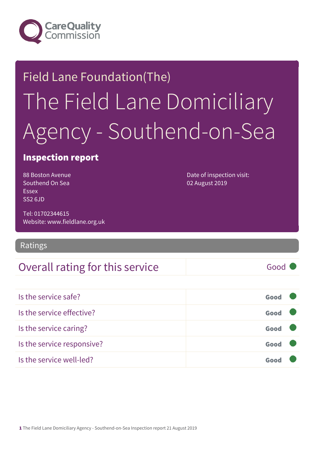

# Field Lane Foundation(The) The Field Lane Domiciliary Agency - Southend-on-Sea

### Inspection report

88 Boston Avenue Southend On Sea Essex SS2 6JD

Date of inspection visit: 02 August 2019

Tel: 01702344615 Website: www.fieldlane.org.uk

### Ratings

### Overall rating for this service and all the Good

Is the service safe? Good Is the service effective? Contact the service effective? Is the service caring? Good Is the service responsive? Good Is the service well-led? Good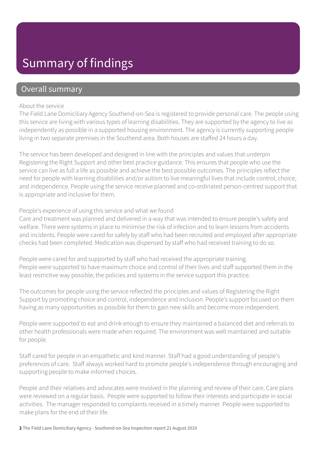## Summary of findings

### Overall summary

#### About the service

The Field Lane Domiciliary Agency Southend-on-Sea is registered to provide personal care. The people using this service are living with various types of learning disabilities. They are supported by the agency to live as independently as possible in a supported housing environment. The agency is currently supporting people living in two separate premises in the Southend area. Both houses are staffed 24 hours a day.

The service has been developed and designed in line with the principles and values that underpin Registering the Right Support and other best practice guidance. This ensures that people who use the service can live as full a life as possible and achieve the best possible outcomes. The principles reflect the need for people with learning disabilities and/or autism to live meaningful lives that include control, choice, and independence. People using the service receive planned and co-ordinated person-centred support that is appropriate and inclusive for them.

#### People's experience of using this service and what we found

Care and treatment was planned and delivered in a way that was intended to ensure people's safety and welfare. There were systems in place to minimise the risk of infection and to learn lessons from accidents and incidents. People were cared for safely by staff who had been recruited and employed after appropriate checks had been completed. Medication was dispensed by staff who had received training to do so.

People were cared for and supported by staff who had received the appropriate training. People were supported to have maximum choice and control of their lives and staff supported them in the least restrictive way possible; the policies and systems in the service support this practice.

The outcomes for people using the service reflected the principles and values of Registering the Right Support by promoting choice and control, independence and inclusion. People's support focused on them having as many opportunities as possible for them to gain new skills and become more independent.

People were supported to eat and drink enough to ensure they maintained a balanced diet and referrals to other health professionals were made when required. The environment was well maintained and suitable for people.

Staff cared for people in an empathetic and kind manner. Staff had a good understanding of people's preferences of care. Staff always worked hard to promote people's independence through encouraging and supporting people to make informed choices.

People and their relatives and advocates were involved in the planning and review of their care. Care plans were reviewed on a regular basis. People were supported to follow their interests and participate in social activities. The manager responded to complaints received in a timely manner. People were supported to make plans for the end of their life.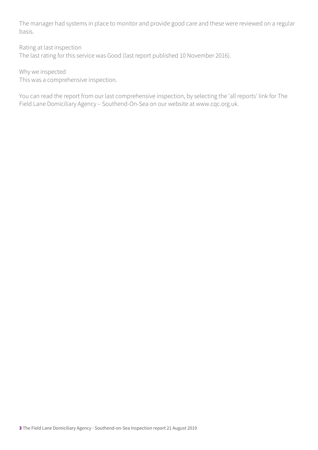The manager had systems in place to monitor and provide good care and these were reviewed on a regular basis.

Rating at last inspection

The last rating for this service was Good (last report published 10 November 2016).

Why we inspected

This was a comprehensive inspection.

You can read the report from our last comprehensive inspection, by selecting the 'all reports' link for The Field Lane Domiciliary Agency – Southend-On-Sea on our website at www.cqc.org.uk.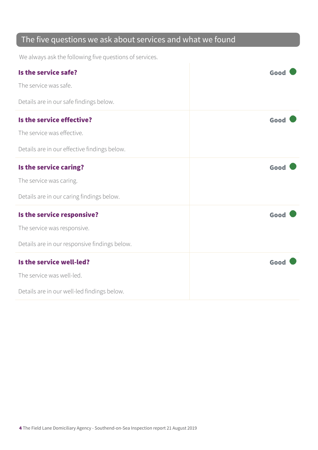### The five questions we ask about services and what we found

We always ask the following five questions of services.

| Is the service safe?                          | Good |
|-----------------------------------------------|------|
| The service was safe.                         |      |
| Details are in our safe findings below.       |      |
| Is the service effective?                     | Good |
| The service was effective.                    |      |
| Details are in our effective findings below.  |      |
| Is the service caring?                        | Good |
| The service was caring.                       |      |
| Details are in our caring findings below.     |      |
| Is the service responsive?                    | Good |
| The service was responsive.                   |      |
| Details are in our responsive findings below. |      |
| Is the service well-led?                      | Good |
| The service was well-led.                     |      |
| Details are in our well-led findings below.   |      |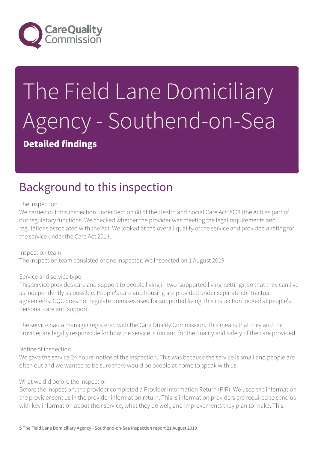

# The Field Lane Domiciliary Agency - Southend-on-Sea

### Detailed findings

## Background to this inspection

#### The inspection

We carried out this inspection under Section 60 of the Health and Social Care Act 2008 (the Act) as part of our regulatory functions. We checked whether the provider was meeting the legal requirements and regulations associated with the Act. We looked at the overall quality of the service and provided a rating for the service under the Care Act 2014.

Inspection team The inspection team consisted of one inspector. We inspected on 1 August 2019.

#### Service and service type

This service provides care and support to people living in two 'supported living' settings, so that they can live as independently as possible. People's care and housing are provided under separate contractual agreements. CQC does not regulate premises used for supported living; this inspection looked at people's personal care and support.

The service had a manager registered with the Care Quality Commission. This means that they and the provider are legally responsible for how the service is run and for the quality and safety of the care provided.

#### Notice of inspection

We gave the service 24 hours' notice of the inspection. This was because the service is small and people are often out and we wanted to be sure there would be people at home to speak with us.

#### What we did before the inspection

Before the inspection, the provider completed a Provider Information Return (PIR). We used the information the provider sent us in the provider information return. This is information providers are required to send us with key information about their service, what they do well, and improvements they plan to make. This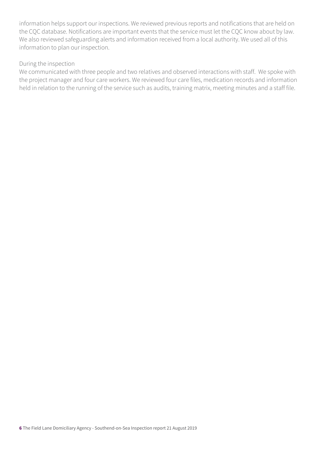information helps support our inspections. We reviewed previous reports and notifications that are held on the CQC database. Notifications are important events that the service must let the CQC know about by law. We also reviewed safeguarding alerts and information received from a local authority. We used all of this information to plan our inspection.

#### During the inspection

We communicated with three people and two relatives and observed interactions with staff. We spoke with the project manager and four care workers. We reviewed four care files, medication records and information held in relation to the running of the service such as audits, training matrix, meeting minutes and a staff file.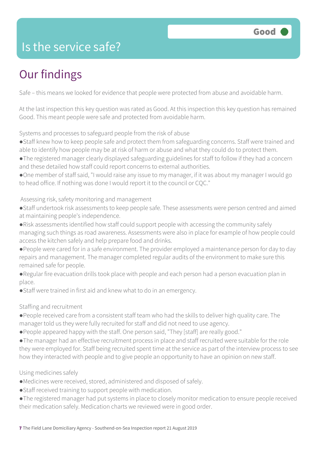### Is the service safe?

# Our findings

Safe – this means we looked for evidence that people were protected from abuse and avoidable harm.

At the last inspection this key question was rated as Good. At this inspection this key question has remained Good. This meant people were safe and protected from avoidable harm.

Systems and processes to safeguard people from the risk of abuse

- ●Staff knew how to keep people safe and protect them from safeguarding concerns. Staff were trained and able to identify how people may be at risk of harm or abuse and what they could do to protect them.
- ●The registered manager clearly displayed safeguarding guidelines for staff to follow if they had a concern and these detailed how staff could report concerns to external authorities.
- ●One member of staff said, "I would raise any issue to my manager, if it was about my manager I would go to head office. If nothing was done I would report it to the council or CQC."

Assessing risk, safety monitoring and management

- ●Staff undertook risk assessments to keep people safe. These assessments were person centred and aimed at maintaining people's independence.
- ●Risk assessments identified how staff could support people with accessing the community safely managing such things as road awareness. Assessments were also in place for example of how people could access the kitchen safely and help prepare food and drinks.
- ●People were cared for in a safe environment. The provider employed a maintenance person for day to day repairs and management. The manager completed regular audits of the environment to make sure this remained safe for people.
- ●Regular fire evacuation drills took place with people and each person had a person evacuation plan in place.
- Staff were trained in first aid and knew what to do in an emergency.

#### Staffing and recruitment

- ●People received care from a consistent staff team who had the skills to deliver high quality care. The manager told us they were fully recruited for staff and did not need to use agency.
- ●People appeared happy with the staff. One person said, "They [staff] are really good."
- ●The manager had an effective recruitment process in place and staff recruited were suitable for the role they were employed for. Staff being recruited spent time at the service as part of the interview process to see how they interacted with people and to give people an opportunity to have an opinion on new staff.

#### Using medicines safely

- ●Medicines were received, stored, administered and disposed of safely.
- ●Staff received training to support people with medication.
- ●The registered manager had put systems in place to closely monitor medication to ensure people received their medication safely. Medication charts we reviewed were in good order.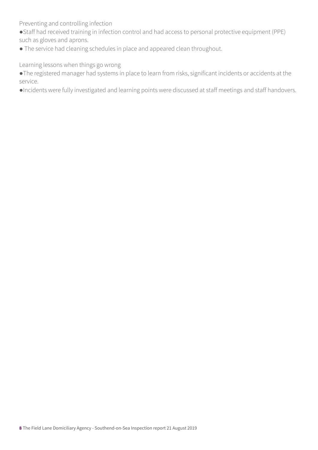Preventing and controlling infection

- ●Staff had received training in infection control and had access to personal protective equipment (PPE) such as gloves and aprons.
- The service had cleaning schedules in place and appeared clean throughout.

Learning lessons when things go wrong

●The registered manager had systems in place to learn from risks, significant incidents or accidents at the service.

●Incidents were fully investigated and learning points were discussed at staff meetings and staff handovers.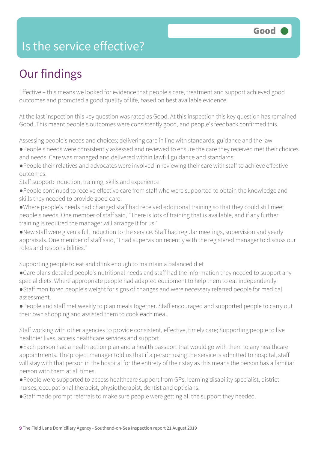### Is the service effective?

# Our findings

Effective – this means we looked for evidence that people's care, treatment and support achieved good outcomes and promoted a good quality of life, based on best available evidence.

At the last inspection this key question was rated as Good. At this inspection this key question has remained Good. This meant people's outcomes were consistently good, and people's feedback confirmed this.

Assessing people's needs and choices; delivering care in line with standards, guidance and the law

- ●People's needs were consistently assessed and reviewed to ensure the care they received met their choices and needs. Care was managed and delivered within lawful guidance and standards.
- ●People their relatives and advocates were involved in reviewing their care with staff to achieve effective outcomes.
- Staff support: induction, training, skills and experience
- ●People continued to receive effective care from staff who were supported to obtain the knowledge and skills they needed to provide good care.
- ●Where people's needs had changed staff had received additional training so that they could still meet people's needs. One member of staff said, "There is lots of training that is available, and if any further training is required the manager will arrange it for us."
- ●New staff were given a full induction to the service. Staff had regular meetings, supervision and yearly appraisals. One member of staff said, "I had supervision recently with the registered manager to discuss our roles and responsibilities."

Supporting people to eat and drink enough to maintain a balanced diet

- ●Care plans detailed people's nutritional needs and staff had the information they needed to support any special diets. Where appropriate people had adapted equipment to help them to eat independently.
- ●Staff monitored people's weight for signs of changes and were necessary referred people for medical assessment.
- ●People and staff met weekly to plan meals together. Staff encouraged and supported people to carry out their own shopping and assisted them to cook each meal.

Staff working with other agencies to provide consistent, effective, timely care; Supporting people to live healthier lives, access healthcare services and support

- ●Each person had a health action plan and a health passport that would go with them to any healthcare appointments. The project manager told us that if a person using the service is admitted to hospital, staff will stay with that person in the hospital for the entirety of their stay as this means the person has a familiar person with them at all times.
- ●People were supported to access healthcare support from GPs, learning disability specialist, district nurses, occupational therapist, physiotherapist, dentist and opticians.
- ●Staff made prompt referrals to make sure people were getting all the support they needed.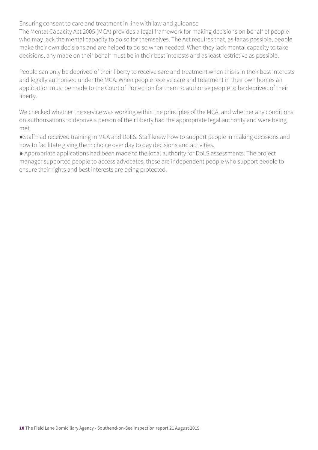Ensuring consent to care and treatment in line with law and guidance

The Mental Capacity Act 2005 (MCA) provides a legal framework for making decisions on behalf of people who may lack the mental capacity to do so for themselves. The Act requires that, as far as possible, people make their own decisions and are helped to do so when needed. When they lack mental capacity to take decisions, any made on their behalf must be in their best interests and as least restrictive as possible.

People can only be deprived of their liberty to receive care and treatment when this is in their best interests and legally authorised under the MCA. When people receive care and treatment in their own homes an application must be made to the Court of Protection for them to authorise people to be deprived of their liberty.

We checked whether the service was working within the principles of the MCA, and whether any conditions on authorisations to deprive a person of their liberty had the appropriate legal authority and were being met.

●Staff had received training in MCA and DoLS. Staff knew how to support people in making decisions and how to facilitate giving them choice over day to day decisions and activities.

● Appropriate applications had been made to the local authority for DoLS assessments. The project manager supported people to access advocates, these are independent people who support people to ensure their rights and best interests are being protected.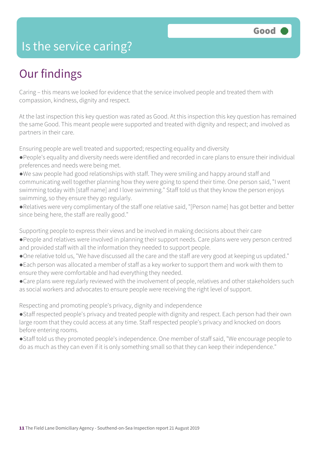### Is the service caring?

## Our findings

Caring – this means we looked for evidence that the service involved people and treated them with compassion, kindness, dignity and respect.

At the last inspection this key question was rated as Good. At this inspection this key question has remained the same Good. This meant people were supported and treated with dignity and respect; and involved as partners in their care.

Ensuring people are well treated and supported; respecting equality and diversity

- ●People's equality and diversity needs were identified and recorded in care plans to ensure their individual preferences and needs were being met.
- ●We saw people had good relationships with staff. They were smiling and happy around staff and communicating well together planning how they were going to spend their time. One person said, "I went swimming today with [staff name] and I love swimming." Staff told us that they know the person enjoys swimming, so they ensure they go regularly.
- ●Relatives were very complimentary of the staff one relative said, "[Person name] has got better and better since being here, the staff are really good."

Supporting people to express their views and be involved in making decisions about their care

- ●People and relatives were involved in planning their support needs. Care plans were very person centred and provided staff with all the information they needed to support people.
- ●One relative told us, "We have discussed all the care and the staff are very good at keeping us updated."
- ●Each person was allocated a member of staff as a key worker to support them and work with them to ensure they were comfortable and had everything they needed.
- ●Care plans were regularly reviewed with the involvement of people, relatives and other stakeholders such as social workers and advocates to ensure people were receiving the right level of support.

Respecting and promoting people's privacy, dignity and independence

- ●Staff respected people's privacy and treated people with dignity and respect. Each person had their own large room that they could access at any time. Staff respected people's privacy and knocked on doors before entering rooms.
- ●Staff told us they promoted people's independence. One member of staff said, "We encourage people to do as much as they can even if it is only something small so that they can keep their independence."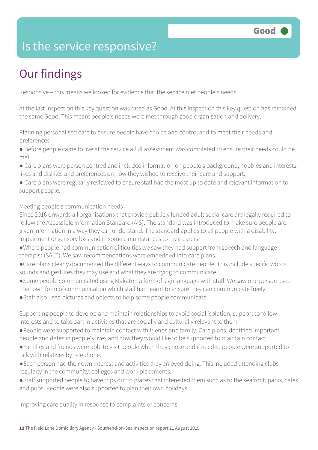### Is the service responsive?

# Our findings

Responsive – this means we looked for evidence that the service met people's needs

At the last inspection this key question was rated as Good. At this inspection this key question has remained the same Good. This meant people's needs were met through good organisation and delivery.

Planning personalised care to ensure people have choice and control and to meet their needs and preferences

● Before people came to live at the service a full assessment was completed to ensure their needs could be met.

- Care plans were person centred and included information on people's background, hobbies and interests, likes and dislikes and preferences on how they wished to receive their care and support.
- Care plans were regularly reviewed to ensure staff had the most up to date and relevant information to support people.

Meeting people's communication needs

Since 2016 onwards all organisations that provide publicly funded adult social care are legally required to follow the Accessible Information Standard (AIS). The standard was introduced to make sure people are given information in a way they can understand. The standard applies to all people with a disability, impairment or sensory loss and in some circumstances to their carers.

- ●Where people had communication difficulties we saw they had support from speech and language therapist (SALT). We saw recommendations were embedded into care plans.
- ●Care plans clearly documented the different ways to communicate people. This include specific words, sounds and gestures they may use and what they are trying to communicate.
- ●Some people communicated using Makaton a form of sign language with staff. We saw one person used their own form of communication which staff had learnt to ensure they can communicate freely.
- ●Staff also used pictures and objects to help some people communicate.

Supporting people to develop and maintain relationships to avoid social isolation; support to follow interests and to take part in activities that are socially and culturally relevant to them

- ●People were supported to maintain contact with friends and family. Care plans identified important people and dates in people's lives and how they would like to be supported to maintain contact.
- ●Families and friends were able to visit people when they chose and if needed people were supported to talk with relatives by telephone.
- ●Each person had their own interest and activities they enjoyed doing. This included attending clubs regularly in the community, colleges and work placements.
- ●Staff supported people to have trips out to places that interested them such as to the seafront, parks, cafes and pubs. People were also supported to plan their own holidays.

Improving care quality in response to complaints or concerns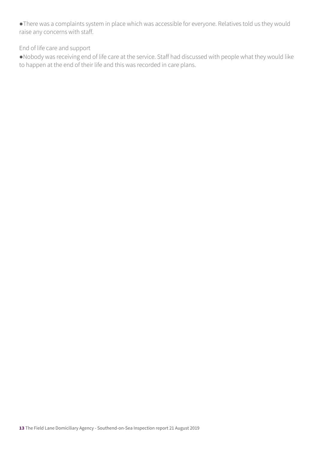●There was a complaints system in place which was accessible for everyone. Relatives told us they would raise any concerns with staff.

#### End of life care and support

●Nobody was receiving end of life care at the service. Staff had discussed with people what they would like to happen at the end of their life and this was recorded in care plans.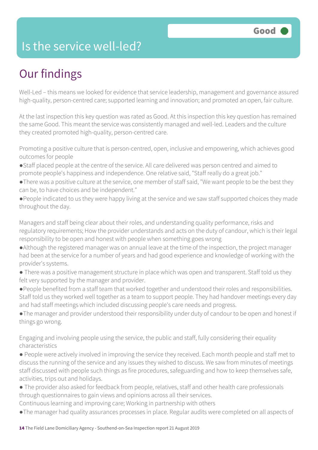### Is the service well-led?

# Our findings

Well-Led – this means we looked for evidence that service leadership, management and governance assured high-quality, person-centred care; supported learning and innovation; and promoted an open, fair culture.

At the last inspection this key question was rated as Good. At this inspection this key question has remained the same Good. This meant the service was consistently managed and well-led. Leaders and the culture they created promoted high-quality, person-centred care.

Promoting a positive culture that is person-centred, open, inclusive and empowering, which achieves good outcomes for people

- ●Staff placed people at the centre of the service. All care delivered was person centred and aimed to promote people's happiness and independence. One relative said, "Staff really do a great job."
- ●There was a positive culture at the service, one member of staff said, "We want people to be the best they can be, to have choices and be independent."
- ●People indicated to us they were happy living at the service and we saw staff supported choices they made throughout the day.

Managers and staff being clear about their roles, and understanding quality performance, risks and regulatory requirements; How the provider understands and acts on the duty of candour, which is their legal responsibility to be open and honest with people when something goes wrong

- ●Although the registered manager was on annual leave at the time of the inspection, the project manager had been at the service for a number of years and had good experience and knowledge of working with the provider's systems.
- There was a positive management structure in place which was open and transparent. Staff told us they felt very supported by the manager and provider.
- ●People benefited from a staff team that worked together and understood their roles and responsibilities. Staff told us they worked well together as a team to support people. They had handover meetings every day and had staff meetings which included discussing people's care needs and progress.
- ●The manager and provider understood their responsibility under duty of candour to be open and honest if things go wrong.

Engaging and involving people using the service, the public and staff, fully considering their equality characteristics

- People were actively involved in improving the service they received. Each month people and staff met to discuss the running of the service and any issues they wished to discuss. We saw from minutes of meetings staff discussed with people such things as fire procedures, safeguarding and how to keep themselves safe, activities, trips out and holidays.
- The provider also asked for feedback from people, relatives, staff and other health care professionals through questionnaires to gain views and opinions across all their services.

Continuous learning and improving care; Working in partnership with others

●The manager had quality assurances processes in place. Regular audits were completed on all aspects of